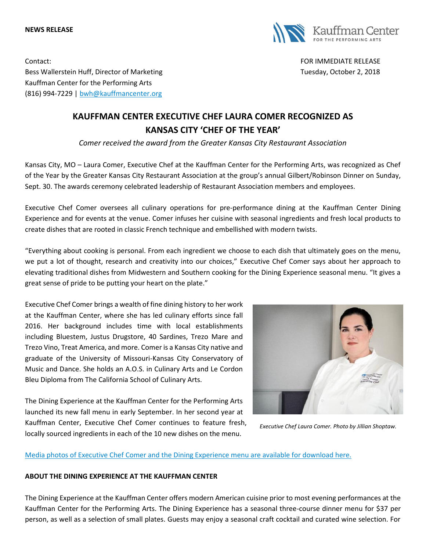#### **NEWS RELEASE**



Contact: FOR IMMEDIATE RELEASE Bess Wallerstein Huff, Director of Marketing Tuesday, October 2, 2018 Kauffman Center for the Performing Arts (816) 994-7229 | [bwh@kauffmancenter.org](mailto:bwh@kauffmancenter.org)

# **KAUFFMAN CENTER EXECUTIVE CHEF LAURA COMER RECOGNIZED AS KANSAS CITY 'CHEF OF THE YEAR'**

*Comer received the award from the Greater Kansas City Restaurant Association*

Kansas City, MO – Laura Comer, Executive Chef at the Kauffman Center for the Performing Arts, was recognized as Chef of the Year by the Greater Kansas City Restaurant Association at the group's annual Gilbert/Robinson Dinner on Sunday, Sept. 30. The awards ceremony celebrated leadership of Restaurant Association members and employees.

Executive Chef Comer oversees all culinary operations for pre-performance dining at the Kauffman Center Dining Experience and for events at the venue. Comer infuses her cuisine with seasonal ingredients and fresh local products to create dishes that are rooted in classic French technique and embellished with modern twists.

"Everything about cooking is personal. From each ingredient we choose to each dish that ultimately goes on the menu, we put a lot of thought, research and creativity into our choices," Executive Chef Comer says about her approach to elevating traditional dishes from Midwestern and Southern cooking for the Dining Experience seasonal menu. "It gives a great sense of pride to be putting your heart on the plate."

Executive Chef Comer brings a wealth of fine dining history to her work at the Kauffman Center, where she has led culinary efforts since fall 2016. Her background includes time with local establishments including Bluestem, Justus Drugstore, 40 Sardines, Trezo Mare and Trezo Vino, Treat America, and more. Comer is a Kansas City native and graduate of the University of Missouri-Kansas City Conservatory of Music and Dance. She holds an A.O.S. in Culinary Arts and Le Cordon Bleu Diploma from The California School of Culinary Arts.

The Dining Experience at the Kauffman Center for the Performing Arts launched its new fall menu in early September. In her second year at Kauffman Center, Executive Chef Comer continues to feature fresh, locally sourced ingredients in each of the 10 new dishes on the menu.



*Executive Chef Laura Comer. Photo by Jillian Shoptaw.*

## [Media photos of Executive Chef Comer and the Dining Experience menu are available for download here.](https://www.flickr.com/photos/kauffmancenter/albums/72157688127131514)

### **ABOUT THE DINING EXPERIENCE AT THE KAUFFMAN CENTER**

The Dining Experience at the Kauffman Center offers modern American cuisine prior to most evening performances at the Kauffman Center for the Performing Arts. The Dining Experience has a seasonal three-course dinner menu for \$37 per person, as well as a selection of small plates. Guests may enjoy a seasonal craft cocktail and curated wine selection. For